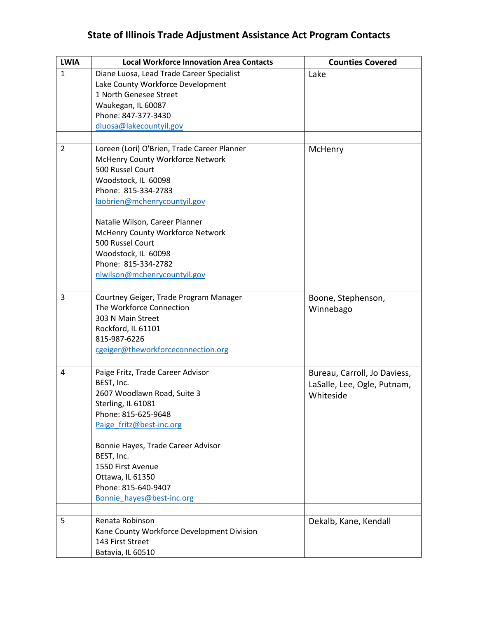| <b>LWIA</b>  | <b>Local Workforce Innovation Area Contacts</b>                    | <b>Counties Covered</b>      |
|--------------|--------------------------------------------------------------------|------------------------------|
| $\mathbf{1}$ | Diane Luosa, Lead Trade Career Specialist                          | Lake                         |
|              | Lake County Workforce Development                                  |                              |
|              | 1 North Genesee Street                                             |                              |
|              | Waukegan, IL 60087                                                 |                              |
|              | Phone: 847-377-3430                                                |                              |
|              | dluosa@lakecountyil.gov                                            |                              |
|              |                                                                    |                              |
| 2            | Loreen (Lori) O'Brien, Trade Career Planner                        | McHenry                      |
|              | McHenry County Workforce Network                                   |                              |
|              | 500 Russel Court                                                   |                              |
|              | Woodstock, IL 60098                                                |                              |
|              | Phone: 815-334-2783                                                |                              |
|              | laobrien@mchenrycountyil.gov                                       |                              |
|              | Natalie Wilson, Career Planner                                     |                              |
|              | McHenry County Workforce Network                                   |                              |
|              | 500 Russel Court                                                   |                              |
|              | Woodstock, IL 60098                                                |                              |
|              | Phone: 815-334-2782                                                |                              |
|              | nlwilson@mchenrycountyil.gov                                       |                              |
|              |                                                                    |                              |
|              |                                                                    |                              |
| 3            | Courtney Geiger, Trade Program Manager<br>The Workforce Connection | Boone, Stephenson,           |
|              |                                                                    | Winnebago                    |
|              | 303 N Main Street                                                  |                              |
|              | Rockford, IL 61101                                                 |                              |
|              | 815-987-6226                                                       |                              |
|              | cgeiger@theworkforceconnection.org                                 |                              |
| 4            | Paige Fritz, Trade Career Advisor                                  | Bureau, Carroll, Jo Daviess, |
|              | BEST, Inc.                                                         | LaSalle, Lee, Ogle, Putnam,  |
|              | 2607 Woodlawn Road, Suite 3                                        |                              |
|              | Sterling, IL 61081                                                 | Whiteside                    |
|              | Phone: 815-625-9648                                                |                              |
|              | Paige fritz@best-inc.org                                           |                              |
|              |                                                                    |                              |
|              | Bonnie Hayes, Trade Career Advisor                                 |                              |
|              | BEST, Inc.                                                         |                              |
|              | 1550 First Avenue                                                  |                              |
|              | Ottawa, IL 61350                                                   |                              |
|              | Phone: 815-640-9407                                                |                              |
|              | Bonnie hayes@best-inc.org                                          |                              |
|              |                                                                    |                              |
| 5            | Renata Robinson                                                    | Dekalb, Kane, Kendall        |
|              | Kane County Workforce Development Division                         |                              |
|              | 143 First Street                                                   |                              |
|              | Batavia, IL 60510                                                  |                              |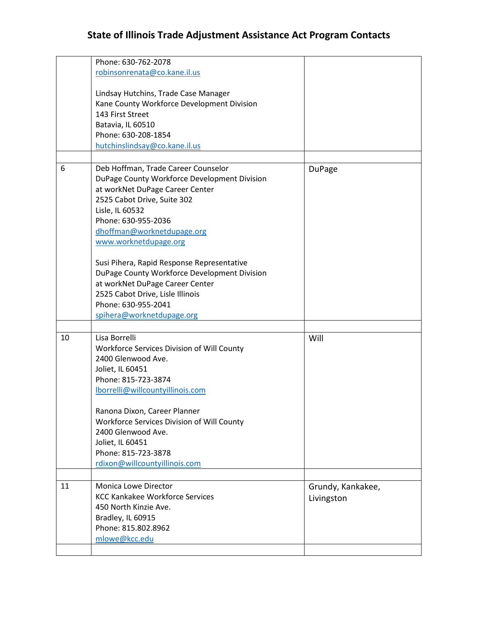|    | Phone: 630-762-2078                          |                   |
|----|----------------------------------------------|-------------------|
|    | robinsonrenata@co.kane.il.us                 |                   |
|    |                                              |                   |
|    | Lindsay Hutchins, Trade Case Manager         |                   |
|    | Kane County Workforce Development Division   |                   |
|    | 143 First Street                             |                   |
|    | Batavia, IL 60510                            |                   |
|    | Phone: 630-208-1854                          |                   |
|    | hutchinslindsay@co.kane.il.us                |                   |
|    |                                              |                   |
|    |                                              |                   |
| 6  | Deb Hoffman, Trade Career Counselor          | <b>DuPage</b>     |
|    | DuPage County Workforce Development Division |                   |
|    | at workNet DuPage Career Center              |                   |
|    | 2525 Cabot Drive, Suite 302                  |                   |
|    | Lisle, IL 60532                              |                   |
|    | Phone: 630-955-2036                          |                   |
|    | dhoffman@worknetdupage.org                   |                   |
|    | www.worknetdupage.org                        |                   |
|    |                                              |                   |
|    | Susi Pihera, Rapid Response Representative   |                   |
|    | DuPage County Workforce Development Division |                   |
|    | at workNet DuPage Career Center              |                   |
|    | 2525 Cabot Drive, Lisle Illinois             |                   |
|    | Phone: 630-955-2041                          |                   |
|    | spihera@worknetdupage.org                    |                   |
|    |                                              |                   |
| 10 | Lisa Borrelli                                | Will              |
|    | Workforce Services Division of Will County   |                   |
|    | 2400 Glenwood Ave.                           |                   |
|    | Joliet, IL 60451                             |                   |
|    | Phone: 815-723-3874                          |                   |
|    |                                              |                   |
|    | lborrelli@willcountyillinois.com             |                   |
|    |                                              |                   |
|    | Ranona Dixon, Career Planner                 |                   |
|    | Workforce Services Division of Will County   |                   |
|    | 2400 Glenwood Ave.                           |                   |
|    | Joliet, IL 60451                             |                   |
|    | Phone: 815-723-3878                          |                   |
|    | rdixon@willcountyillinois.com                |                   |
|    |                                              |                   |
| 11 | Monica Lowe Director                         | Grundy, Kankakee, |
|    | <b>KCC Kankakee Workforce Services</b>       | Livingston        |
|    | 450 North Kinzie Ave.                        |                   |
|    | Bradley, IL 60915                            |                   |
|    | Phone: 815.802.8962                          |                   |
|    | mlowe@kcc.edu                                |                   |
|    |                                              |                   |
|    |                                              |                   |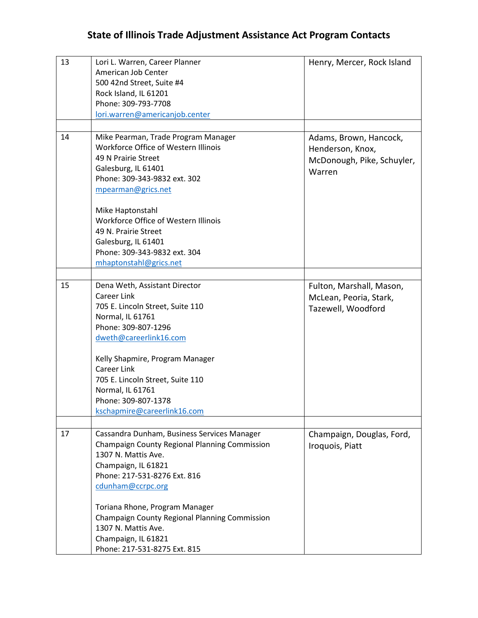| 13 | Lori L. Warren, Career Planner                | Henry, Mercer, Rock Island |
|----|-----------------------------------------------|----------------------------|
|    | American Job Center                           |                            |
|    | 500 42nd Street, Suite #4                     |                            |
|    | Rock Island, IL 61201                         |                            |
|    | Phone: 309-793-7708                           |                            |
|    | lori.warren@americanjob.center                |                            |
|    |                                               |                            |
| 14 | Mike Pearman, Trade Program Manager           | Adams, Brown, Hancock,     |
|    | Workforce Office of Western Illinois          | Henderson, Knox,           |
|    | 49 N Prairie Street                           | McDonough, Pike, Schuyler, |
|    | Galesburg, IL 61401                           | Warren                     |
|    | Phone: 309-343-9832 ext. 302                  |                            |
|    | mpearman@grics.net                            |                            |
|    | Mike Haptonstahl                              |                            |
|    | Workforce Office of Western Illinois          |                            |
|    | 49 N. Prairie Street                          |                            |
|    | Galesburg, IL 61401                           |                            |
|    | Phone: 309-343-9832 ext. 304                  |                            |
|    | mhaptonstahl@grics.net                        |                            |
|    |                                               |                            |
| 15 | Dena Weth, Assistant Director                 | Fulton, Marshall, Mason,   |
|    | <b>Career Link</b>                            | McLean, Peoria, Stark,     |
|    | 705 E. Lincoln Street, Suite 110              | Tazewell, Woodford         |
|    | Normal, IL 61761                              |                            |
|    | Phone: 309-807-1296                           |                            |
|    | dweth@careerlink16.com                        |                            |
|    | Kelly Shapmire, Program Manager               |                            |
|    | <b>Career Link</b>                            |                            |
|    | 705 E. Lincoln Street, Suite 110              |                            |
|    | Normal, IL 61761                              |                            |
|    | Phone: 309-807-1378                           |                            |
|    | kschapmire@careerlink16.com                   |                            |
|    |                                               |                            |
| 17 | Cassandra Dunham, Business Services Manager   | Champaign, Douglas, Ford,  |
|    | Champaign County Regional Planning Commission | Iroquois, Piatt            |
|    | 1307 N. Mattis Ave.                           |                            |
|    | Champaign, IL 61821                           |                            |
|    | Phone: 217-531-8276 Ext. 816                  |                            |
|    | cdunham@ccrpc.org                             |                            |
|    | Toriana Rhone, Program Manager                |                            |
|    | Champaign County Regional Planning Commission |                            |
|    | 1307 N. Mattis Ave.                           |                            |
|    | Champaign, IL 61821                           |                            |
|    | Phone: 217-531-8275 Ext. 815                  |                            |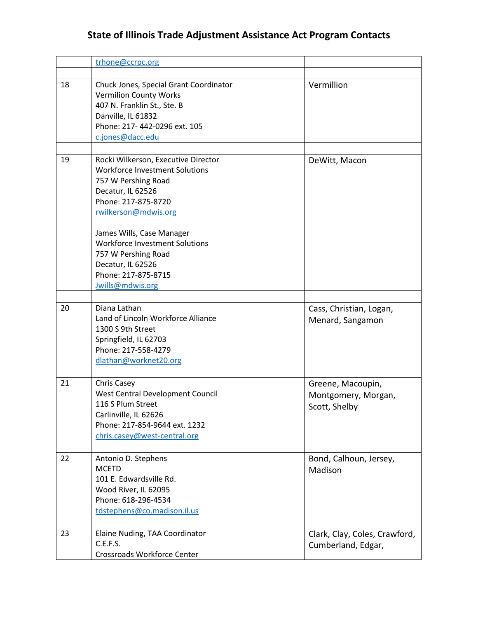|    | trhone@ccrpc.org                                                                                                                                                                 |                                                           |
|----|----------------------------------------------------------------------------------------------------------------------------------------------------------------------------------|-----------------------------------------------------------|
|    |                                                                                                                                                                                  |                                                           |
| 18 | Chuck Jones, Special Grant Coordinator<br><b>Vermilion County Works</b><br>407 N. Franklin St., Ste. B<br>Danville, IL 61832<br>Phone: 217-442-0296 ext. 105<br>c.jones@dacc.edu | Vermillion                                                |
|    |                                                                                                                                                                                  |                                                           |
| 19 | Rocki Wilkerson, Executive Director<br><b>Workforce Investment Solutions</b><br>757 W Pershing Road<br>Decatur, IL 62526<br>Phone: 217-875-8720<br>rwilkerson@mdwis.org          | DeWitt, Macon                                             |
|    | James Wills, Case Manager<br><b>Workforce Investment Solutions</b><br>757 W Pershing Road<br>Decatur, IL 62526<br>Phone: 217-875-8715<br>Jwills@mdwis.org                        |                                                           |
|    |                                                                                                                                                                                  |                                                           |
| 20 | Diana Lathan<br>Land of Lincoln Workforce Alliance<br>1300 S 9th Street<br>Springfield, IL 62703<br>Phone: 217-558-4279<br>dlathan@worknet20.org                                 | Cass, Christian, Logan,<br>Menard, Sangamon               |
|    |                                                                                                                                                                                  |                                                           |
| 21 | <b>Chris Casey</b><br>West Central Development Council<br>116 S Plum Street<br>Carlinville, IL 62626<br>Phone: 217-854-9644 ext. 1232<br>chris.casey@west-central.org            | Greene, Macoupin,<br>Montgomery, Morgan,<br>Scott, Shelby |
| 22 | Antonio D. Stephens<br><b>MCETD</b><br>101 E. Edwardsville Rd.<br>Wood River, IL 62095<br>Phone: 618-296-4534<br>tdstephens@co.madison.il.us                                     | Bond, Calhoun, Jersey,<br>Madison                         |
|    |                                                                                                                                                                                  |                                                           |
| 23 | Elaine Nuding, TAA Coordinator<br>C.E.F.S.<br>Crossroads Workforce Center                                                                                                        | Clark, Clay, Coles, Crawford,<br>Cumberland, Edgar,       |